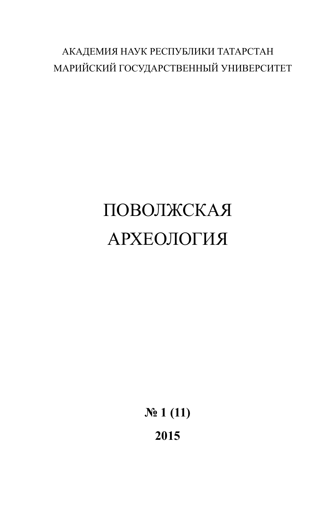# АКАДЕМИЯ НАУК РЕСПУБЛИКИ ТАТАРСТАН МАРИЙСКИЙ ГОСУДАРСТВЕННЫЙ УНИВЕРСИТЕТ

# ПОВОЛЖСКАЯ АРХЕОЛОГИЯ

**№ 1 (11) 2015**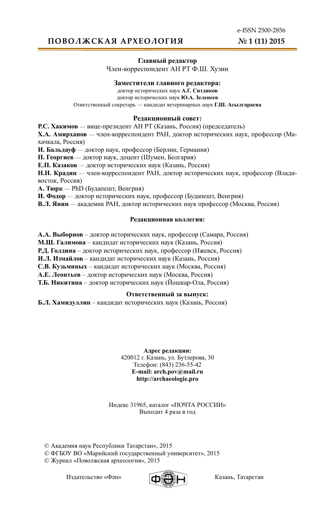e-ISSN 2500-2856

**№ 1 (11) 2015**

# **ПОВОЛЖСКАЯ АРХЕОЛОГИЯ**

# **Главный редактор**

Член-корреспондент АН РТ Ф.Ш. Хузин

# **Заместители главного редактора:**

доктор исторических наук **А.Г. Ситдиков** доктор исторических наук **Ю.А. Зеленеев** Ответственный секретарь — кандидат ветеринарных наук **Г.Ш. Асылгараева**

### **Редакционный совет:**

**Р.С. Хакимов** — вице-президент АН РТ (Казань, Россия) (председатель)

**Х.А. Амирханов** — член-корреспондент РАН, доктор исторических наук, профессор (Махачкала, Россия)

**И. Бальдауф** — доктор наук, профессор (Берлин, Германия)

**П. Георгиев** — доктор наук, доцент (Шумен, Болгария)

**Е.П. Казаков** — доктор исторических наук (Казань, Россия)

**Н.Н. Крадин** — член-корреспондент РАН, доктор исторических наук, профессор (Владивосток, Россия)

**А. Тюрк** — PhD (Будапешт, Венгрия)

**И. Фодор** — доктор исторических наук, профессор (Будапешт, Венгрия)

**В.Л. Янин** — академик РАН, доктор исторических наук профессор (Москва, Россия)

# **Редакционная коллегия:**

**А.А. Выборнов** – доктор исторических наук, профессор (Самара, Россия)

**М.Ш. Галимова** – кандидат исторических наук (Казань, Россия)

**Р.Д. Голдина** – доктор исторических наук, профессор (Ижевск, Россия)

**И.Л. Измайлов** – кандидат исторических наук (Казань, Россия)

**С.В. Кузьминых** – кандидат исторических наук (Москва, Россия)

**А.Е. Леонтьев** – доктор исторических наук (Москва, Россия)

**Т.Б. Никитина** – доктор исторических наук (Йошкар-Ола, Россия)

# **Ответственный за выпуск:**

**Б.Л. Хамидуллин** – кандидат исторических наук (Казань, Россия)

#### **Адрес редакции:** 420012 г. Казань, ул. Бутлерова, 30 Телефон: (843) 236-55-42 **E-mail: arch.pov@mail.ru http://archaeologie.pro**

# Индекс 31965, каталог «ПОЧТА РОССИИ» Выходит 4 раза в год

© Академия наук Республики Татарстан», 2015 © ФГБОУ ВО «Марийский государственный университет», 2015

© Журнал «Поволжская археология», 2015

Издательство «Фән» **Геренов (Геренов Казань**, Татарстан

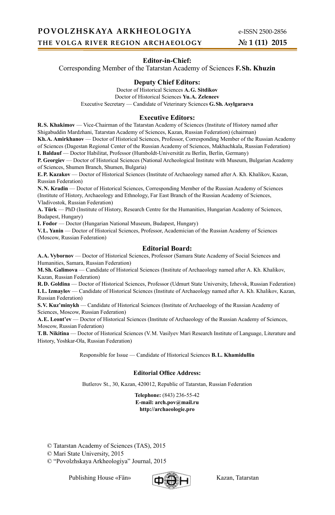**№ 1 (11) 2015**

# **Editor-in-Chief:**

Corresponding Member of the Tatarstan Academy of Sciences **F. Sh. Khuzin**

# **Deputy Chief Editors:**

Doctor of Historical Sciences **A. G. Sitdikov** Doctor of Historical Sciences **Yu. A. Zeleneev** Executive Secretary — Candidate of Veterinary Sciences **G. Sh. Asylgaraeva**

#### **Executive Editors:**

**R. S. Khakimov** — Vice-Chairman of the Tatarstan Academy of Sciences (Institute of History named after Shigabuddin Mardzhani, Tatarstan Academy of Sciences, Kazan, Russian Federation) (chairman) **Kh. A. Amirkhanov** — Doctor of Historical Sciences, Professor, Corresponding Member of the Russian Academy of Sciences (Dagestan Regional Center of the Russian Academy of Sciences, Makhachkala, Russian Federation) **I. Baldauf** — Doctor Habilitat, Professor (Humboldt-Universität zu Berlin, Berlin, Germany) **P. Georgiev** — Doctor of Historical Sciences (National Archeological Institute with Museum, Bulgarian Academy

of Sciences, Shumen Branch, Shumen, Bulgaria)

**E. P. Kazakov** — Doctor of Historical Sciences (Institute of Archaeology named after A. Kh. Khalikov, Kazan, Russian Federation)

**N. N. Kradin** — Doctor of Historical Sciences, Corresponding Member of the Russian Academy of Sciences (Institute of History, Archaeology and Ethnology, Far East Branch of the Russian Academy of Sciences, Vladivostok, Russian Federation)

**А. Türk** — PhD (Institute of History, Research Centre for the Humanities, Hungarian Academy of Sciences, Budapest, Hungary)

**I. Fodor** — Doctor (Hungarian National Museum, Budapest, Hungary)

**V. L. Yanin** — Doctor of Historical Sciences, Professor, Academician of the Russian Academy of Sciences (Moscow, Russian Federation)

#### **Editorial Board:**

**A. A. Vybornov** — Doctor of Historical Sciences, Professor (Samara State Academy of Social Sciences and Humanities, Samara, Russian Federation)

**M. Sh. Galimova** — Candidate of Historical Sciences (Institute of Archaeology named after A. Kh. Khalikov, Kazan, Russian Federation)

**R. D. Goldina** — Doctor of Historical Sciences, Professor (Udmurt State University, Izhevsk, Russian Federation) **I. L. Izmaylov** — Candidate of Historical Sciences (Institute of Archaeology named after A. Kh. Khalikov, Kazan, Russian Federation)

**S. V. Kuz'minykh** — Candidate of Historical Sciences (Institute of Archaeology of the Russian Academy of Sciences, Moscow, Russian Federation)

**А. Е. Leont'ev** — Doctor of Historical Sciences (Institute of Archaeology of the Russian Academy of Sciences, Moscow, Russian Federation)

**Т. B. Nikitina** — Doctor of Historical Sciences (V. M. Vasilyev Mari Research Institute of Language, Literature and History, Yoshkar-Ola, Russian Federation)

Responsible for Issue — Candidate of Historical Sciences **B. L. Khamidullin**

# **Editorial Office Address:**

Butlerov St., 30, Kazan, 420012, Republic of Tatarstan, Russian Federation

**Telephone:** (843) 236-55-42 **E-mail: arch.pov@mail.ru http://archaeologie.pro**

© Tatarstan Academy of Sciences (TAS), 2015

© Mari State University, 2015

© "Povolzhskaya Arkheologiya" Journal, 2015

Publishing House «Fän» **Frankfill** Kazan, Tatarstan

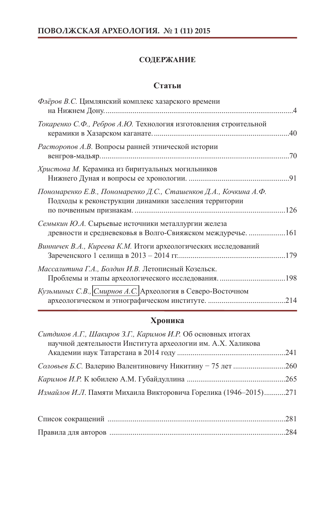# **СОДЕРЖАНИЕ**

# **Статьи**

| Флёров В.С. Цимлянский комплекс хазарского времени                                                                        |  |
|---------------------------------------------------------------------------------------------------------------------------|--|
| Токаренко С.Ф., Ребров А.Ю. Технология изготовления строительной                                                          |  |
| Расторопов А.В. Вопросы ранней этнической истории                                                                         |  |
| Христова М. Керамика из биритуальных могильников                                                                          |  |
| Пономаренко Е.В., Пономаренко Д.С., Сташенков Д.А., Кочкина А.Ф.<br>Подходы к реконструкции динамики заселения территории |  |
| Семыкин Ю.А. Сырьевые источники металлургии железа<br>древности и средневековья в Волго-Свияжском междуречье. 161         |  |
| Винничек В.А., Киреева К.М. Итоги археологических исследований                                                            |  |
| Массалитина Г.А., Болдин И.В. Летописный Козельск.                                                                        |  |
| Кузьминых С.В., Смирнов А.С. Археология в Северо-Восточном                                                                |  |
|                                                                                                                           |  |

# **Хроника**

| Ситдиков А.Г., Шакиров З.Г., Каримов И.Р. Об основных итогах     |  |
|------------------------------------------------------------------|--|
| научной деятельности Института археологии им. А.Х. Халикова      |  |
|                                                                  |  |
|                                                                  |  |
| Измайлов И.Л. Памяти Михаила Викторовича Горелика (1946–2015)271 |  |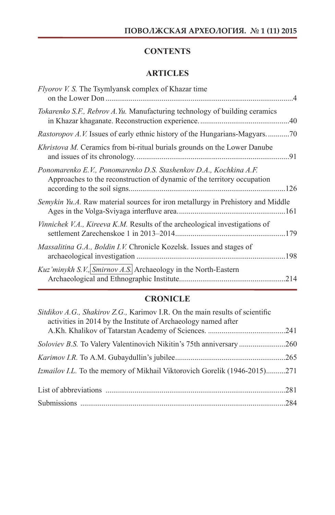# **CONTENTS**

# **ARTICLES**

| <i>Flyorov V. S.</i> The Tsymlyansk complex of Khazar time                                                                                   |      |
|----------------------------------------------------------------------------------------------------------------------------------------------|------|
| <i>Tokarenko S.F., Rebrov A.Yu.</i> Manufacturing technology of building ceramics                                                            | .40  |
| <i>Rastoropov A.V.</i> Issues of early ethnic history of the Hungarians-Magyars70                                                            |      |
| <i>Khristova M.</i> Ceramics from bi-ritual burials grounds on the Lower Danube                                                              |      |
| Ponomarenko E.V., Ponomarenko D.S. Stashenkov D.A., Kochkina A.F.<br>Approaches to the reconstruction of dynamic of the territory occupation |      |
| Semykin Yu.A. Raw material sources for iron metallurgy in Prehistory and Middle                                                              |      |
| Vinnichek V.A., Kireeva K.M. Results of the archeological investigations of                                                                  |      |
| Massalitina G.A., Boldin I.V. Chronicle Kozelsk. Issues and stages of                                                                        |      |
| Kuz'minykh S.V., Smirnov A.S. Archaeology in the North-Eastern                                                                               | .214 |

# **CRONICLE**

| Sitdikov A.G., Shakirov Z.G., Karimov I.R. On the main results of scientific<br>activities in 2014 by the Institute of Archaeology named after |  |
|------------------------------------------------------------------------------------------------------------------------------------------------|--|
|                                                                                                                                                |  |
|                                                                                                                                                |  |
|                                                                                                                                                |  |
| <i>Izmailov I.L.</i> To the memory of Mikhail Viktorovich Gorelik (1946-2015)271                                                               |  |
|                                                                                                                                                |  |
|                                                                                                                                                |  |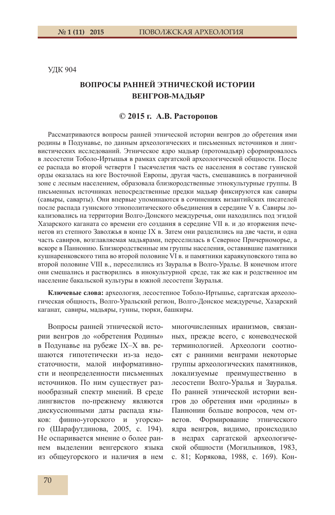УДК 904

# **ВОПРОСЫ РАННЕЙ ЭТНИЧЕСКОЙ ИСТОРИИ ВЕНГРОВ-МАДЬЯР**

# **© 2015 г. А.В. Расторопов**

Рассматриваются вопросы ранней этнической истории венгров до обретения ими родины в Подунавье, по данным археологических и письменных источников и лингвистических исследований. Этническое ядро мадьяр (протомадьяр) сформировалось в лесостепи Тоболо-Иртышья в рамках саргатской археологической общности. После ее распада во второй четверти I тысячелетия часть ее населения в составе гуннской орды оказалась на юге Восточной Европы, другая часть, смешавшись в пограничной зоне с лесным населением, образовала близкородственные этнокультурные группы. В письменных источниках непосредственные предки мадьяр фиксируются как савиры (савыры, саварты). Они впервые упоминаются в сочинениях византийских писателей после распада гуннского этнополитического объединения в середине V в. Савиры локализовались на территории Волго-Донского междуречья, они находились под эгидой Хазарского каганата со времени его создания в середине VII в. и до вторжения печенегов из степного Заволжья в конце IX в. Затем они разделились на две части, и одна часть савиров, возглавляемая мадьярами, переселилась в Северное Причерноморье, а вскоре в Паннонию. Близкородственные им группы населения, оставившие памятники кушнаренковского типа во второй половине VI в. и памятники караякуповского типа во второй половине VIII в., переселились из Зауралья в Волго-Уралье. В конечном итоге они смешались и растворились в инокультурной среде, так же как и родственное им население бакальской культуры в южной лесостепи Зауралья.

**Ключевые слова:** археология, лесостепное Тоболо-Иртышье, саргатская археологическая общность, Волго-Уральский регион, Волго-Донское междуречье, Хазарский каганат, савиры, мадьяры, гунны, тюрки, башкиры.

Вопросы ранней этнической истории венгров до «обретения Родины» в Подунавье на рубеже IX–X вв. решаются гипотетически из-за недостаточности, малой информативности и неопределенности письменных источников. По ним существует разнообразный спектр мнений. В среде лингвистов по-прежнему являются дискуссионными даты распада языков: финно-угорского и угорского (Шарафутдинова, 2005, с. 194). Не оспаривается мнение о более раннем выделении венгерского языка из общеугорского и наличия в нем

многочисленных иранизмов, связанных, прежде всего, с коневодческой терминологией. Археологи соотносят с ранними венграми некоторые группы археологических памятников, локализуемые преимущественно в лесостепи Волго-Уралья и Зауралья. По ранней этнической истории венгров до обретения ими «родины» в Паннонии больше вопросов, чем ответов. Формирование этнического ядра венгров, видимо, происходило в недрах саргатской археологической общности (Могильников, 1983, с. 81; Корякова, 1988, с. 169). Кон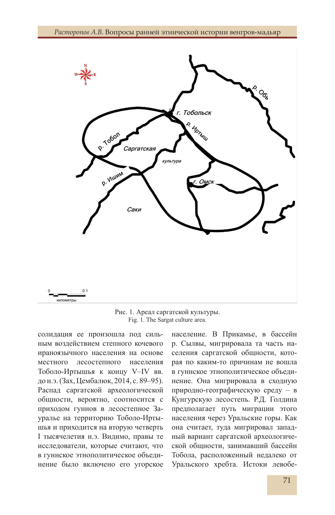*Расторопов А.В.* Вопросы ранней этнической истории венгров-мадьяр



Рис. 1. Ареал саргатской культуры. Fig. 1. The Sargat culture area.

солидация ее произошла под сильным воздействием степного кочевого ираноязычного населения на основе местного лесостепного населения Тоболо-Иртышья к концу V–IV вв. до н.э. (Зах, Цембалюк, 2014, с. 89–95). Распад саргатской археологической общности, вероятно, соотносится с приходом гуннов в лесостепное Зауралье на территорию Тоболо-Иртышья и приходится на вторую четверть I тысячелетия н.э. Видимо, правы те исследователи, которые считают, что в гуннское этнополитическое объединение было включено его угорское

население. В Прикамье, в бассейн р. Сылвы, мигрировала та часть населения саргатской общности, которая по каким-то причинам не вошла в гуннское этнополитическое объединение. Она мигрировала в сходную природно-географическую среду – в Кунгурскую лесостепь. Р.Д. Голдина предполагает путь миграции этого населения через Уральские горы. Как она считает, туда мигрировал западный вариант саргатской археологической общности, занимавший бассейн Тобола, расположенный недалеко от Уральского хребта. Истоки левобе-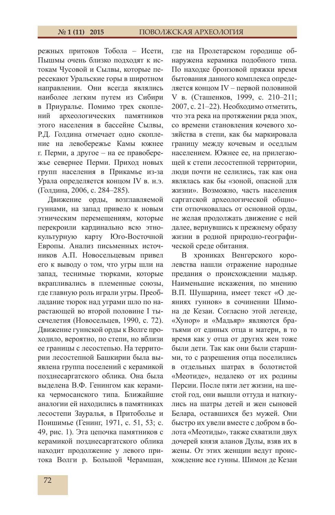режных притоков Тобола – Исети, Пышмы очень близко подходят к истокам Чусовой и Сылвы, которые пересекают Уральские горы в широтном направлении. Они всегда являлись наиболее легким путем из Сибири в Приуралье. Помимо трех скоплений археологических памятников этого населения в бассейне Сылвы, Р.Д. Голдина отмечает одно скопление на левобережье Камы южнее г. Перми, а другое – на ее правобережье севернее Перми. Приход новых групп населения в Прикамье из-за Урала определяется концом IV в. н.э. (Голдина, 2006, с. 284–285).

Движение орды, возглавляемой гуннами, на запад привело к новым этническим перемещениям, которые перекроили кардинально всю этнокультурную карту Юго-Восточной Европы. Анализ письменных источников А.П. Новосельцевым привел его к выводу о том, что угры шли на запад, теснимые тюрками, которые вкрапливались в племенные союзы, где главную роль играли угры. Преобладание тюрок над уграми шло по нарастающей во второй половине I тысячелетия (Новосельцев, 1990, с. 72). Движение гуннской орды к Волге проходило, вероятно, по степи, но вблизи ее границы с лесостепью. На территории лесостепной Башкирии была выявлена группа поселений с керамикой позднесаргатского облика. Она была выделена В.Ф. Генингом как керамика чермосанского типа. Ближайшие аналогии ей находились в памятниках лесостепи Зауралья, в Притоболье и Поишимье (Генинг, 1971, с. 51, 53; с. 49, рис. 1). Эта цепочка памятников с керамикой позднесаргатского oблика находит продолжение у левого притока Волги р. Большой Черамшан,

где на Пролетарском городище обнаружена керамика подобного типа. По находке бронзовой пряжки время бытования данного комплекса определяется концом IV – первой половиной V в. (Сташенков, 1999, с. 210–211; 2007, с. 21–22). Необходимо отметить, что эта река на протяжении ряда эпох, со времени становления кочевого хозяйства в степи, как бы маркировала границу между кочевым и оседлым населением. Южнее ее, на прилегающей к степи лесостепной территории, люди почти не селились, так как она являлась как бы «зоной, опасной для жизни». Возможно, часть населения саргатской археологической общности отпочковалась от основной орды, не желая продолжать движение с ней далее, вернувшись к прежнему образу жизни в родной природно-географической среде обитания.

В хрониках Венгерского королевства нашли отражение народные предания о происхождении мадьяр. Наименьшие искажения, по мнению В.П. Шушарина, имеет текст «О деяниях гуннов» в сочинении Шимона де Кезаи. Согласно этой легенде, «Хунор» и «Мадьяр» являются братьями от единых отца и матери, в то время как у отца от других жен тоже были дети. Так как они были старшими, то с разрешения отца поселились в отдeльных шатрах в болотистой «Меотиде», недалеко от их родины Персии. После пяти лет жизни, на шестой год, они вышли оттуда и наткнулись на шатры детей и жен сыновей Белара, оставшихся без мужей. Они быстро их увели вместе с добром в болота «Меотиды», также схватили двух дочерей князя аланов Дулы, взяв их в жены. От этих женщин ведут происхождение все гунны. Шимон де Кезаи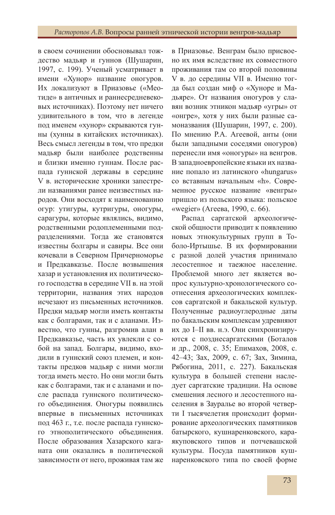в своем сочинении обосновывал тождество мадьяр и гуннов (Шушарин, 1997, с. 199). Ученый усматривает в имени «Хунор» название оногуров. Их локализуют в Приазовье («Меотиде» в античных и раннесредневековых источниках). Поэтому нет ничего удивительного в том, что в легенде под именем «хунор» скрываются гунны (хунны в китайских источниках). Весь смысл легенды в том, что пpeдки мадьяр были наиболее родственны и близки именно гуннам. После распада гуннской державы в середине V в. исторические хроники запестрели названиями ранее неизвестных народов. Они восходят к наименованию огур: утигуры, кутригуры, оногуры, сарагуры, которые являлись, видимо, родственными родоплеменными подразделениями. Тогда же становятся известны болгары и савиры. Все они кочевали в Северном Причерноморье и Предкавказье. После возвышения хазар и установления их политического господства в середине VII в. на этой территории, названия этих народов исчезают из письменных источников. Предки мадьяр могли иметь контакты как с болгарами, так и с аланами. Известно, что гунны, разгромив алан в Предкавказье, часть их увлекли с собой на запад. Болгары, видимо, входили в гуннский союз племен, и контакты предков мадьяр с ними могли тогда иметь место. Но они могли быть как с болгарами, так и с аланами и после распада гуннского политического объединения. Оногуры появились впервые в письменных источниках под 463 г., т.е. после распада гуннского этнополитического объединения. После образования Хазарского каганата они оказались в политической зависимости от него, проживая там же

в Приазовье. Венграм было присвоено их имя вследствие их совместного проживания там со второй половины V в. до середины VII в. Именно тогда был создан миф о «Хуноре и Мадьяре». От названия оногуров у славян возник этникон мадьяр «угры» от «онгре», хотя у них были разные самоназвания (Шушарин, 1997, с. 200). По мнению Р.А. Агеевой, анты (они были западными соседями оногуров) перенесли имя «оногуры» на венгров. Взападноевропейские языки их название попало из латинского «hungarus» со вставным начальным «h». Современное русское название «венгры» пришло из польского языка: польское «wegier» (Агеева, 1990, с. 66).

Распад саргатской археологической общности приводит к появлению новых этнокультурных групп в Тоболо-Иртышье. В их формировании с разной долей участия принимало лесостепное и таежное население. Проблемой много лет является вопрос культурно-хронологического соотнесения археологических комплексов саргатской и бакальской культур. Полученные радиоуглеродные даты по бакальским комплексам удревняют их до I–II вв. н.э. Они синхронизируются с позднесаргатскими (Боталов и др., 2008, с. 35; Епимахов, 2008, с. 42–43; Зах, 2009, с. 67; Зах, Зимина, Рябогина, 2011, с. 227). Бакальская культура в большей степени наследует саргатские традиции. На основе смешения лесного и лесостепного населения в Зауралье во второй четверти I тысячелетия происходит формирование археологических памятников батырского, кушнаренковского, караякуповского типов и потчевашской культуры. Посуда памятников кушнаренковского типа по своей форме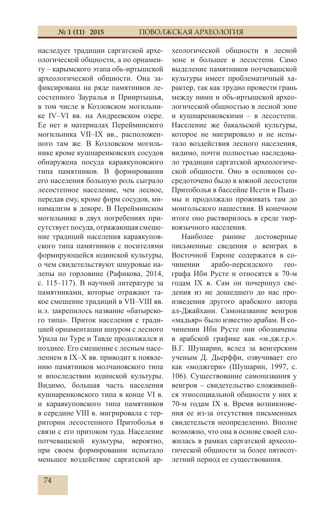наследует традиции саргатской археологической общности, а по орнаменту – карымского этапа обь-иртышской археологической общности. Она зафиксирована на ряде памятников лесостепного Зауралья и Прииртышья, в том числе в Козловском могильнике IV–VI вв. на Андреевском озере. Ее нет в материалах Перейминского могильника VII–IX вв., расположенного там же. В Козловском могильнике кроме кушнаренковских сосудов обнаружена посуда караякуповского типа памятников. В формировании его населения большую роль сыграло лесостепное население, чем лесное, передав ему, кроме форм сосудов, минимализм в декоре. В Перейминском могильнике в двух погребениях присутствует посуда, отражающая смешение традиций населения караякуповского типа памятников с носителями формирующейся юдинской культуры, о чем свидетельствуют шнуровые налепы по горловине (Рафикова, 2014, с. 115–117). В научной литературе за памятниками, которые отражают такое смешение традиций в VII–VIII вв. н.э. закрепилось название «батырского типа». Приток населения с традицией орнаментации шнуром с лесного Урала по Туре и Тавде продолжался и позднее. Его смешение с лесным населением в IX–X вв. приводит к появлению памятников молчановского типа и впоследствии юдинской культуры. Видимо, большая часть населения кушнаренковского типа в конце VI в. и караякуповского типа памятников в середине VIII в. мигрировала с территории лесостепного Притоболья в связи с его притоком туда. Население потчевашской культуры, вероятно, при своем формировании испытало меньшее воздействие саргатской археологической общности в лесной зоне и большее в лесостепи. Само выделение памятников потчевашской культуры имеет проблематичный характер, так как трудно провести грань между ними и обь-иртышской археологической общностью в лесной зоне и кушнаренковскими – в лесостепи. Население же бакальской культуры, которое не мигрировало и не испытало воздействия лесного населения, видимо, почти полностью наследовало традиции саргатской археологической общности. Оно в основном сосредоточено было в южной лесостепи Притоболья в бассейне Исети и Пышмы и продолжало проживать там до монгольского нашествия. В конечном итоге оно растворилось в среде тюркоязычного населения.

Наиболее ранние достоверные письменные сведения о венграх в Восточной Европе содержатся в сочинении арабо-персидского географа Ибн Русте и относятся к 70-м годам IХ в. Сам он почерпнул сведения из не дошедшего до нас произведения другого арабского автора ал-Джайхани. Самоназвание венгров «мадьяр» было известно арабам. В сочинении Ибн Русте они обозначены в арабской графике как «м.дж.г.р.». В.Г. Шушарин, вслед за венгерским ученым Д. Дьерффи, озвучивает его как «моджгери» (Шушарин, 1997, с. 106). Существование самоназвания у венгров – свидетельство сложившейся этносоциальной общности у них к 70-м годам IX в. Время возникновения ее из-за отсутствия письменных свидетельств неопределенно. Вполне возможно, что она в основе своей сложилась в рамках саргатской археологической общности за более пятисотлетний период ее существования.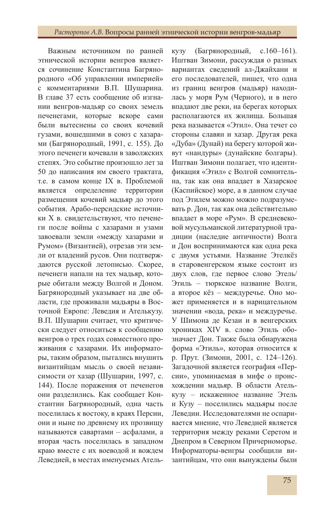Важным источником по ранней этнической истории венгров является сочинение Константина Багрянородного «Об управлении империей» с комментариями В.П. Шушарина. В главе 37 есть сообщение об изгнании венгров-мадьяр со своих земель печенегами, которые вскоре сами были вытеснены со своих кочевий гузами, вошедшими в союз с хазарами (Багрянородный, 1991, с. 155). До этого печенеги кочевали в заволжских степях. Это событие произошло лет за 50 до написания им своего трактата, т.е. в самом конце IX в. Проблемой является определение территории размещения кочевий мадьяр до этого события. Арабо-персидские источники X в. свидетельствуют, что печенеги после войны с хазарами и узами завоевали земли «между хазарами и Румом» (Византией), отрезав эти земли от владений русов. Они подтверждаются русской летописью. Скорее, печенеги напали на тех мадьяр, которые обитали между Волгой и Доном. Багрянородный указывает на две области, где проживали мадьяры в Восточной Европе: Леведия и Ателькузу. В.П. Шушарин считает, что критически следует относиться к сообщению венгров о трех годах совместного проживания с хазарами. Их информаторы, таким образом, пытались внушить византийцам мысль о своей независимости от хазар (Шушарин, 1997, с. 144). После поражения от печенегов они разделились. Как сообщает Константин Багрянородный, одна часть поселилась к востоку, в краях Персии, они и ныне по древнему их прозвищу называются савартами – асфалами, а вторая часть поселилась в западном краю вместе с их воеводой и вождем Леведией, в местах именуемых Атель-

кузу (Багрянородный, с.160–161). Иштван Зимони, рассуждая о разных вариантах сведений ал-Джайхани и его последователей, пишет, что одна из границ венгров (мадьяр) находилась у моря Рум (Черного), и в него впадают две реки, на берегах которых располагаются их жилища. Большая река называется «Этил». Она течет со стороны славян и хазар. Другая река «Дуба» (Дунай) на берегу которой живут «нандуры» (дунайские болгары). Иштван Зимони полагает, что идентификация «Этил» с Волгой сомнительна, так как она впадает в Хазарское (Каспийское) море, а в данном случае под Этилем можно можно подразумевать р. Дон, так как она действительно впадает в море «Рум». В средневековой мусульманской литературной традиции (наследие античности) Волга и Дон воспринимаются как одна река с двумя устьями. Название Этелкёз в старовенгерском языке состоит из двух слов, где первое слово Этель/ Этиль – тюркское название Волги, а второе кёз – междуречье. Оно может применяется и в нарицательном значении «вода, река» и междуречье. У Шимона де Кезаи и в венгерских хрониках XIV в. слово Этиль обозначает Дон. Также была обнаружена форма «Этиль», которая относится к р. Прут. (Зимони, 2001, с. 124–126). Загадочной является география «Персии», упоминаемая в мифе о происхождении мадьяр. В области Ателькузу – искаженное название Этель и Кузу – поселились мадьяры после Леведии. Исследователями не оспаривается мнение, что Леведией является территория между реками Серетом и Днепром в Северном Причерноморье. Информаторы-венгры сообщили византийцам, что они вынуждены были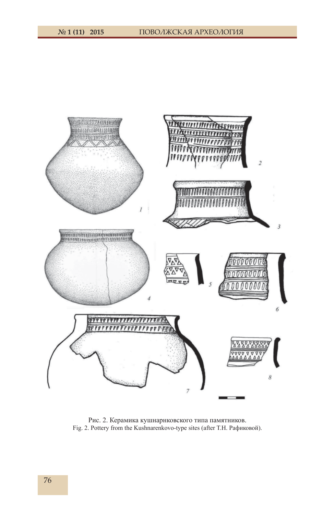

Рис. 2. Керамика кушнарнковского типа памятников. Fig. 2. Pottery from the Kushnarenkovo-type sites (after Т.Н. Рафиковой).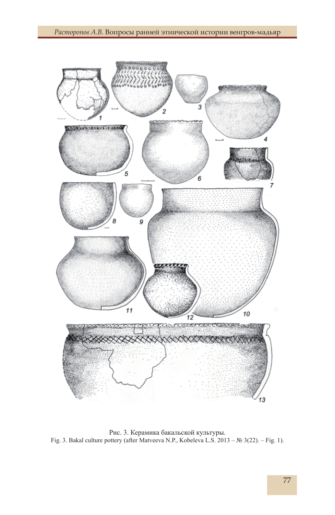

Рис. 3. Керамика бакальской культуры. Fig. 3. Bakal culture pottery (after Matveeva N.P., Kobeleva L.S. 2013 – № 3(22). – Fig. 1).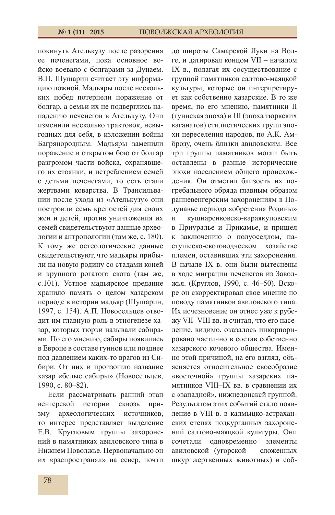покинуть Ателькузу после разорения ее печенегами, пока основное войско воевало с болгарами за Дунаем. В.П. Шушарин считает эту информацию ложной. Мадьяры после нескольких побед потерпели поражение от болгар, а семьи их не подверглись нападению печенегов в Ателькузу. Они изменили несколько трактовок, невыгодных для себя, в изложении войны Багрянородным. Мадьяры заменили поражение в открытом бою от болгар разгромом части войска, охранявшего их стоянки, и истреблением семей с детьми печенегами, то есть стали жертвами коварства. В Трансильвании после ухода из «Ателькузу» они построили семь крепостей для своих жен и детей, против уничтожения их семей свидетельствуют данные археологии и антропологии (там же, с. 180). К тому же остеологические данные свидетельствуют, что мадьяры прибыли на новую родину со стадами коней и крупного рогатого скота (там же, с.101). Устное мадьярское предание хранило память о целом хазарском периоде в истории мадьяр (Шушарин, 1997, с. 154). А.П. Новосельцев отводит им главную роль в этногенезе хазар, которых тюрки называли сабирами. По его мнению, сабиры появились в Европе в составе гуннов или позднее под давлением каких-то врагов из Сибири. От них и произошло название хазар «белые сабиры» (Новосельцев, 1990, с. 80–82).

Если рассматривать ранний этап венгерской истории сквозь призму археологических источников, то интерес представляет выделение Е.В. Кругловым группы захоронений в памятниках авиловского типа в Нижнем Поволжье. Первоначально он их «распространял» на север, почти до широты Самарской Луки на Волге, и датировал концом VII – началом IX в., полагая их сосуществование с группой памятников салтово-маяцкой культуры, которые он интерпретирует как собственно хазарские. В то же время, по его мнению, памятники II (гуннская эпоха) и III (эпоха тюркских каганатов) стилистических групп эпохи переселения народов, по А.К. Амброзу, очень близки авиловским. Все три группы памятников могли быть оставлены в разные исторические эпохи населением общего происхождения. Он отметил близость их погребального обряда главным образом ранневенгерским захоронениям в Подунавье периода «обретения Родины» и кушнаренковско-караякуповским в Приуралье и Прикамье, и пришел к заключению о полуоседлом, пастушеско-скотоводческом хозяйстве племен, оставивших эти захоронения. В начале IX в. они были вытеснены в ходе миграции печенегов из Заволжья. (Круглов, 1990, с. 46–50). Вскоре он скорректировал свое мнение по поводу памятников авиловского типа. Их исчезновение он отнес уже к рубежу VII–VIII вв. и считал, что его население, видимо, оказалось инкорпорировано частично в состав собственно хазарского кочевого общества. Именно этой причиной, на его взгляд, объясняется относительное своеобразие «восточной» группы хазарских памятников VIII–IХ вв. в сравнении их с «западной», нижнедонсксй группой. Результатом этих событий стало появление в VIII в. в калмыцко-астраханских степях подкурганных захоронений салтово-маяцкой культуры. Они сочетали одновременно элементы авиловской (угорской – сложенных шкур жертвенных животных) и соб-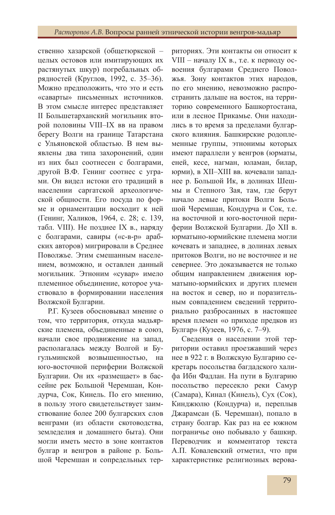ственно хазарской (общетюркской – целых остовов или имитирующих их растянутых шкур) погребальных обрядностей (Круглов, 1992, с. 35–36). Можно предположить, что это и есть «саварты» письменных источников. В этом смысле интерес представляет II Большетарханский могильник второй половины VIII–IX вв на правом берегу Волги на границе Татарстана с Ульяновской областью. В нем выявлены два типа захоронений, один из них был соотнесен с болгарами, другой В.Ф. Генинг соотнес с уграми. Он видел истоки его традиций в населении саргатской археологической общности. Его посуда по форме и орнаментации восходит к ней (Генинг, Халиков, 1964, с. 28; с. 139, табл. VIII). Не позднее IX в., наряду с болгарами, савиры («с-в-р» арабских авторов) мигрировали в Среднее Поволжье. Этим смешанным населением, возможно, и оставлен данный могильник. Этноним «сувар» имело племенное объединение, которое участвовало в формировании населения Волжской Булгарии.

Р.Г. Кузеев обосновывал мнение о том, что территория, откуда мадьярские племена, объединенные в союз, начали свое продвижение на запад, располагалась между Волгой и Бугульминской возвышенностью, на юго-восточной периферии Волжской Булгарии. Он их «размещает» в бассейне рек Большой Черемшан, Кондурча, Сок, Кинель. По его мнению, в пользу этого свидетельствует заимствование более 200 булгарских слов венграми (из области скотоводства, земледелия и домашнего быта). Они могли иметь место в зоне контактов булгар и венгров в районе р. Большой Черемшан и сопредельных территориях. Эти контакты он относит к VIII – началу IX в., т.е. к периоду освоения булгарами Среднего Поволжья. Зону контактов этих народов, по его мнению, невозможно распространить дальше на восток, на территорию современного Башкортостана, или в лесное Прикамье. Они находились в то время за пределами булгарского влияния. Башкирские родоплеменные группы, этнонимы которых имеют параллели у венгров (юрматы, еней, кесе, нагман, юламан, билар, юрми), в XII–XIII вв. кочевали западнее р. Большой Ик, в долинах Шешмы и Степного Зая, там, где берут начало левые притоки Волги Большой Черемшан, Кондурча и Сок, т.е. на восточной и юго-восточной периферии Волжской Булгарии. До XII в. юрматыно-юрмийские племена могли кочевать и западнее, в долинах левых притоков Волги, но не восточнее и не севернее. Это доказывается не только общим направлением движения юрматыно-юрмийских и других племен на восток и север, но и поразительным совпадением сведений территориально разбросанных в настоящее время племен «о приходе предков из Булгар» (Кузеев, 1976, с. 7–9).

Сведения о населении этой территории оставил проезжавший через нее в 922 г. в Волжскую Булгарию секретарь посольства багдадского халифа Ибн Фадлан. На пути в Булгарию посольство пересекло реки Самур (Самара), Кинал (Кинель), Сух (Сок), Кинджюлю (Кондурча) и, переплыв Джарамсан (Б. Черемшан), попало в страну болгар. Как раз на ее южном пограничье оно побывало у башкир. Переводчик и комментатор текста А.П. Ковалевский отметил, что при характеристике религиозных верова-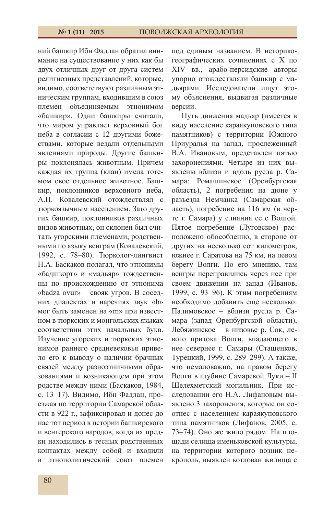ний башкир Ибн Фадлан обратил внимание на существование у них как бы двух отличных друг от друга систем религиозных представлений, которые, видимо, соответствуют различным этническим группам, входившим в союз племен объединяемым этнонимом «башкир». Одни башкиры считали, что миром управляет верховный бог неба в согласии с 12 другими божествами, которые ведали отдельными явлениями природы. Другие башкиры поклонялась животным. Причем каждая их группа (клан) имела тотемом свое отдельное животное. Башкир, поклонников верховного неба, А.П. Ковалевский отождествлял с тюркоязычным населением. Зато других башкир, поклонников различных видов животных, он склонен был считать угорскими племенами, родственными по языку венграм (Ковалевский, 1992, с. 78–80). Тюрколог-лингвист Н.А. Баскаков полагал, что этнонимы «бадшкорт» и «мадьяр» тождественны по происхождению от этнонима «badza ovur» – свояк угров. В соседних диалектах и наречиях звук «b» мог быть заменен на «m» при известном в тюркских и монгольских языках соответствии этих начальных букв. Изучение угорских и тюркских этнонимов раннего средневековья привело его к выводу о наличии брачных связей между разноэтничными образованиями и возникающем при этом родстве между ними (Баскаков, 1984, с. 13–17). Видимо, Ибн Фадлан, проезжая по территории Самарской области в 922 г., зафиксировал и донес до нас тот период в истории башкирского и венгерского народов, когда их предки находились в тесных родственных контактах между собой и входили в этнополитический союз племен

80

под единым названием. В историкогеографических сочинениях с X по XIV вв., арабо-персидские авторы упорно отождествляли башкир с мадьярами. Исследователи ищут этому объяснения, выдвигая различные версии.

Путь движения мадьяр (имеется в виду население караякуповского типа памятников) с территории Южного Приуралья на запад, прослеженный В.А. Ивановым, представлен пятью захоронениями. Четыре из них выявлены вблизи и вдоль русла р. Самара: Ромашинское (Оренбургская область), 2 погребения на дюне у разъезда Немчанка (Самарская область), погребение на 116 км (в черте г. Самара) у слияния ее с Волгой. Пятое погребение (Луговское) расположено обособленно, в стороне от других на несколько сот километров, южнее г. Саратова на 75 км, на левом берегу Волги. По его мнению, там венгры переправились через нее при своем движении на запад (Иванов, 1999, с. 93–96). К этим погребениям необходимо добавить еще несколько: Палимовское – вблизи русла р. Самара (запад Оренбургской области), Лебяжинское – в низовье р. Сок, левого притока Волги, впадающего в нее севернее г. Самары (Сташенков, Турецкий, 1999, с. 289–299). А также, что немаловажно, на правом берегу Волги в глубине Самарской Луки – II Шелехметский могильник. При исследовании его Н.А. Лифановым выявлено 3 захоронения, которые он соотнес с населением караякуповского типа памятников (Лифанов, 2005, с. 73–74). Оно же жило рядом. На площади селища именьковской культуры, на территории которого возник некрополь, выявлен котлован жилища с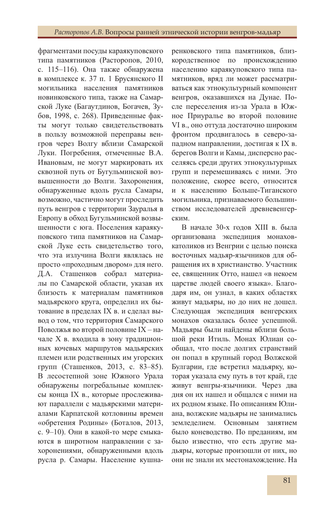фрагментами посуды караякуповского типа памятников (Расторопов, 2010, с. 115–116). Она также обнаружена в комплексе к. 37 п. 1 Брусянского II могильника населения памятников новинковского типа, также на Самарской Луке (Багаутдинов, Богачев, Зубов, 1998, с. 268). Приведенные факты могут только свидетельствовать в пользу возможной переправы венгров через Волгу вблизи Самарской Луки. Погребения, отмеченные В.А. Ивановым, не могут маркировать их сквозной путь от Бугульминской возвышенности до Волги. Захоронения, обнаруженные вдоль русла Самары, возможно, частично могут проследить путь венгров с территории Зауралья в Европу в обход Бугульминской возвышенности с юга. Поселения караякуповского типа памятников на Самарской Луке есть свидетельство того, что эта излучина Волги являлась не просто «проходным двором» для него. Д.А. Сташенков собрал материалы по Самарской области, указав их близость к материалам памятников мадьярского круга, определил их бытование в пределах IX в. и сделал вывод о том, что территория Самарского Поволжья во второй половине IX – начале X в. входила в зону традиционных кочевых маршрутов мадьярских племен или родственных им угорских групп (Сташенков, 2013, с. 83–85). В лесостепной зоне Южного Урала обнаружены погребальные комплексы конца IX в., которые прослеживают параллели с мадьярскими материалами Карпатской котловины времен «обретения Родины» (Боталов, 2013, с. 9–10). Они в какой-то мере смыкаются в широтном направлении с захоронениями, обнаруженными вдоль русла р. Самары. Население кушна-

ренковского типа памятников, близкородственное по происхождению населению караякуповского типа памятников, вряд ли может рассматриваться как этнокультурный компонент венгров, оказавшихся на Дунае. После переселения из-за Урала в Южное Приуралье во второй половине VI в., оно оттуда достаточно широким фронтом продвигалось в северо-западном направлении, достигая к IX в. берегов Волги и Камы, дисперсно расселяясь среди других этнокультурных групп и перемешиваясь с ними. Это положение, скорее всего, относится и к населению Больше-Тиганского могильника, признаваемого большинством исследователей древневенгерским.

В начале 30-х годов XIII в. была организована экспедиция монаховкатоликов из Венгрии с целью поиска восточных мадьяр-язычников для обращения их в христианство. Участник ее, священник Отто, нашел «в некоем царстве людей своего языка». Благодаря им, он узнал, в каких областях живут мадьяры, но до них не дошел. Следующая экспедиция венгерских монахов оказалась более успешной. Мадьяры были найдены вблизи большой реки Итиль. Монах Юлиан сообщал, что после долгих странствий он попал в крупный город Волжской Булгарии, где встретил мадьярку, которая указала ему путь в тот край, где живут венгры-язычники. Через два дня он их нашел и общался с ними на их родном языке. По описаниям Юлиана, волжские мадьяры не занимались земледелием. Основным занятием было коневодство. По преданиям, им было известно, что есть другие мадьяры, которые произошли от них, но они не знали их местонахождение. На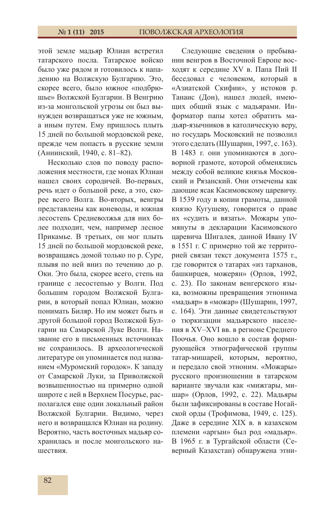этой земле мадьяр Юлиан встретил татарского посла. Татарское войско было уже рядом и готовилось к нападению на Волжскую Булгарию. Это, скорее всего, было южное «подбрюшье» Волжской Булгарии. В Венгрию из-за монгольской угрозы он был вынужден возвращаться уже не южным, а иным путем. Ему пришлось плыть 15 дней по большой мордовской реке, прежде чем попасть в русские земли (Аннинский, 1940, с. 81–82).

Несколько слов по поводу расположения местности, где монах Юлиан нашел своих сородичей. Во-первых, речь идет о большой реке, а это, скорее всего Волга. Во-вторых, венгры представлены как коневоды, и южная лесостепь Средневолжья для них более подходит, чем, например лесное Прикамье. В третьих, он мог плыть 15 дней по большой мордовской реке, возвращаясь домой только по р. Суре, плывя по ней вниз по течению до р. Оки. Это была, скорее всего, степь на границе с лесостепью у Волги. Под большим городом Волжской Булгарии, в который попал Юлиан, можно понимать Биляр. Но им может быть и другой большой город Волжской Булгарии на Самарской Луке Волги. Название его в письменных источниках не сохранилось. В археологической литературе он упоминается под названием «Муромский городок». К западу от Самарской Луки, за Приволжской возвышенностью на примерно одной широте с ней в Верхнем Посурье, располагался еще один локальный район Волжской Булгарии. Видимо, через него и возвращался Юлиан на родину. Вероятно, часть восточных мадьяр сохранилась и после монгольского нашествия.

ходят к середине XV в. Папа Пий II беседовал с человеком, который в «Азиатской Скифии», у истоков р. Танаис (Дон), нашел людей, имеющих общий язык с мадьярами. Информатор папы хотел обратить мадьяр-язычников в католическую веру, но государь Московский не позволил этого сделать (Шушарин, 1997, с. 163). В 1483 г. они упоминаются в договорной грамоте, которой обменялись между собой великие князья Московский и Рязанский. Они отмечены как дающие ясак Касимовскому царевичу. В 1539 году в копии грамоты, данной князю Кугушеву, говорится о праве их «судить и вязать». Можары упомянуты в декларации Касимовского царевича Шигалея, данной Ивану IV в 1551 г. С примерно той же территорией связан текст документа 1575 г., где говорится о татарах «из тарханов, башкирцев, можерян» (Орлов, 1992, с. 23). По законам венгерского языка, возможны превращения этнонима «мадьяр» в «можар» (Шушарин, 1997, с. 164). Эти данные свидетельствуют о тюркизации мадьярского населения в XV–XVI вв. в регионе Среднего Поочья. Оно вошло в состав формирующейся этнографической группы татар-мишарей, которым, вероятно, и передало свой этноним. «Можары» русского произношении в татарском варианте звучали как «мижгары, мишар» (Орлов, 1992, с. 22). Мадьяры были зафиксированы в составе Ногайской орды (Трофимова, 1949, с. 125). Даже в середине XIX в. в казахском племени «аргын» был род «мадьяр». В 1965 г. в Тургайской области (Северный Казахстан) обнаружена этни-

Следующие сведения о пребывании венгров в Восточной Европе вос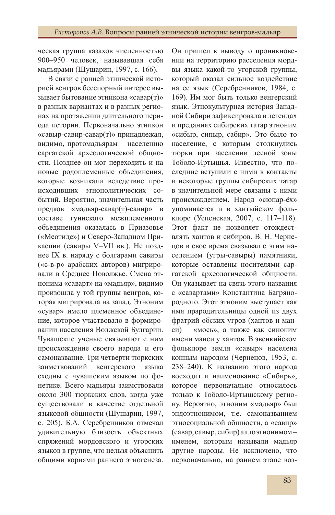ческая группа казахов численностью 900–950 человек, называвшая себя мадьярами (Шушарин, 1997, с. 166).

В связи с ранней этнической историей венгров бесспорный интерес вызывает бытование этникона «савар(т)» в разных вариантах и в разных регионах на протяжении длительного периода истории. Первоначально этникон «савыр-савир-савар(т)» принадлежал, видимо, протомадьярам – населению саргатской археологической общности. Позднее он мог переходить и на новые родоплеменные объединения, которые возникали вследствие происходивших этнополитических событий. Вероятно, значительная часть предков «мадьяр-савар(т)-савир» в составе гуннского межплеменного объединения оказалась в Приазовье («Меотиде») и Северо-Западном Прикаспии (савиры V–VII вв.). Не позднее IX в. наряду с болгарами савиры («с-в-р» арабских авторов) мигрировали в Среднее Поволжье. Смена этнонима «саварт» на «мадьяр», видимо произошла у той группы венгров, которая мигрировала на запад. Этноним «сувар» имело племенное объединение, которое участвовало в формировании населения Волжской Булгарии. Чувашские ученые связывают с ним происхождение своего народа и его самоназвание. Три четверти тюркских заимствований венгерского языка сходны с чувашским языком по фонетике. Всего мадьяры заимствовали около 300 тюркских слов, когда уже существовали в качестве отдельной языковой общности (Шушарин, 1997, с. 205). Б.А. Серебренников отмечал удивительную близость объектных спряжений мордовского и угорских языков в группе, что нельзя объяснить общими корнями раннего этногенеза.

Он пришел к выводу о проникновении на территорию расселения мордвы языка какой-то угорской группы, который оказал сильное воздействие на ее язык (Серебренников, 1984, с. 169). Им мог быть только венгерский язык. Этнокультурная история Западной Сибири зафиксировала в легендах и преданиях сибирских татар этноним «сибыр, сипыр, сабир». Это было то население, с которым столкнулись тюрки при заселении лесной зоны Тоболо-Иртышья. Известно, что последние вступили с ними в контакты и некоторые группы сибирских татар в значительной мере связаны с ними происхождением. Народ «сюпар-ёх» упоминается и в хантыйском фольклоре (Успенская, 2007, с. 117–118). Этот факт не позволяет отождествлять хантов и сибиров. В. Н. Чернецов в свое время связывал с этим населением (угры-савыры) памятники, которые оставлены носителями саргатской археологической общности. Он указывает на связь этого названия с «савартами» Константина Багрянородного. Этот этноним выступает как имя прародительницы одной из двух фратрий обских угров (хантов и манси) – «мось», а также как синоним имени манси у хантов. В эвенкийском фольклоре земля «савыр» населена конным народом (Чернецов, 1953, с. 238–240). К названию этого народа восходит и наименование «Сибирь», которое первоначально относилось только к Тоболо-Иртышскому региону. Вероятно, этноним «мадьяр» был эндоэтнонимом, т.е. самоназванием этносоциальной общности, а «савир» (савар, савыр, сибир) аллоэтнонимом – именем, которым называли мадьяр другие народы. Не исключено, что первоначально, на раннем этапе воз-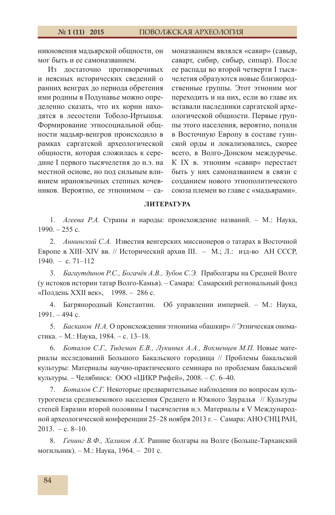#### **№ 1 (11) 2015** ПОВОЛЖСКАЯ АРХЕОЛОГИЯ

никновения мадьярской общности, он мог быть и ее самоназванием.

Из достаточно противоречивых и неясных исторических сведений о ранних венграх до периода обретения ими родины в Подунавье можно определенно сказать, что их корни находятся в лесостепи Тоболо-Иртышья. Формирование этносоциальной общности мадьяр-венгров происходило в рамках саргатской археологической общности, которая сложилась к середине I первого тысячелетия до н.э. на местной основе, но под сильным влиянием ираноязычных степных кочевников. Вероятно, ее этнонимом – са-

моназванием являлся «савир» (савыр, саварт, сибир, сибыр, сипыр). После ее распада во второй четверти I тысячелетия образуются новые близкородственные группы. Этот этноним мог переходить и на них, если во главе их вставали наследники саргатской археологической общности. Первые группы этого населения, вероятно, попали в Восточную Европу в составе гуннской орды и локализовались, скорее всего, в Волго-Донском междуречье. К IX в. этноним «савир» перестает быть у них самоназванием в связи с созданием нового этнополитического союза племен во главе с «мадьярами».

### **ЛИТЕРАТУРА**

1. *Агеева Р.А.* Страны и народы: происхождение названий. – М.: Наука,  $1990. - 255$  c.

2. *Аннинский С.А.* Известия венгерских миссионеров о татарах в Восточной Европе в XIII–XIV вв. // Исторический архив III. – М.; Л.: изд-во АН СССР, 1940. – с. 71–112

3. *Багаутдинов Р.С., Богачёв А.В., Зубов С.Э.* Праболгары на Средней Волге (у истоков истории татар Волго-Камья). – Самара: Самарский региональный фонд «Полдень XXII век», 1998. – 286 с.

4. Багрянородный Константин. Об управлении империей. – М.: Наука, 1991. – 494 с.

5. *Баскаков Н.А.* О происхождении этнонима «башкир» // Этническая ономастика. – М.: Наука, 1984. – с. 13–18.

6. *Боталов С.Г., Тидеман Е.В., Лукиных А.А., Вохменцев М.П.* Новые материалы исследований Большого Бакальского городища // Проблемы бакальской культуры: Материалы научно-практического семинара по проблемам бакальской культуры. – Челябинск: ООО «ЦИКР Рифей», 2008. – С. 6–40.

7. *Боталов С.Г.* Некоторые предварительные наблюдения по вопросам культурогенеза средневекового населения Среднего и Южного Зауралья // Культуры степей Евразии второй половины I тысячелетия н.э. Материалы к V Международной археологической конференции 25–28 ноября 2013 г. – Самара: АНО СНЦ РАН,  $2013. -c. 8-10.$ 

8. *Генинг В.Ф., Халиков А.Х.* Ранние болгары на Волге (Больше-Тарханский могильник). – М.: Наука, 1964. – 201 с.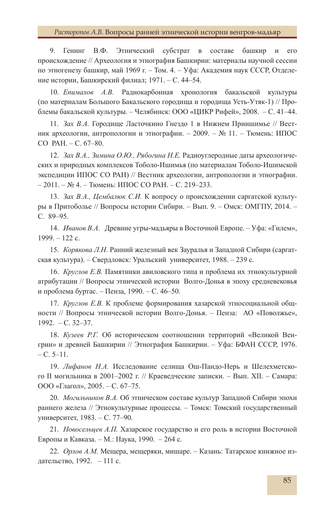9. Генинг В.Ф. Этнический субстрат в составе башкир и его происхождение // Археология и этнография Башкирии: материалы научной сессии по этногенезу башкир, май 1969 г. – Том. 4. – Уфа: Академия наук СССР, Отделение истории, Башкирский филиал; 1971. – С. 44–54.

10. *Епимахов А.В.* Радиокарбонная хронология бакальской культуры (по материалам Большого Бакальского городища и городища Усть-Утяк-1) // Проблемы бакальской культуры. – Челябинск: ООО «ЦИКР Рифей», 2008. – С. 41–44.

11. *Зах В.А.* Городище Ласточкино Гнездо 1 в Нижнем Приишимье // Вестник археологии, антропологии и этнографии. – 2009. – № 11. – Тюмень: ИПОС СО РАН. – С. 67–80.

12. *Зах В.А., Зимина О.Ю., Рябогина Н.Е.* Радиоуглеродные даты археологических и природных комплексов Тоболо-Ишимья (по материалам Тоболо-Ишимской экспедиции ИПОС СО РАН) // Вестник археологии, антропологии и этнографии. – 2011. – № 4. – Тюмень: ИПОС СО РАН. – С. 219–233.

13. *Зах В.А., Цембалюк С.И.* К вопросу о происхождении саргатской культуры в Притоболье // Вопросы истории Сибири. – Вып. 9. – Омск: ОМГПУ, 2014. – С. 89–95.

14. *Иванов В.А.* Древние угры-мадьяры в Восточной Европе. – Уфа: «Гилем», 1999. – 122 с.

15. *Корякова Л.Н.* Ранний железный век Зауралья и Западной Сибири (саргатская культура). – Свердловск: Уральский университет, 1988. – 239 с.

16. *Круглов Е.В.* Памятники авиловского типа и проблема их этнокультурной атрибутации // Вопросы этнической истории Волго-Донья в эпоху средневековья и проблема буртас. – Пенза, 1990. – С. 46–50.

17. *Круглов Е.В.* К проблеме формирования хазарской этносоциальной общности // Вопросы этнической истории Волго-Донья. – Пенза: АО «Поволжье», 1992. – С. 32–37.

18. *Кузеев Р.Г.* Об историческом соотношении территорий «Великой Венгрии» и древней Башкирии // Этнография Башкирии. – Уфа: БФАН СССР, 1976.  $- C. 5-11.$ 

19. *Лифанов Н.А.* Исследование селища Ош-Пандо-Нерь и Шелехметского II могильника в 2001–2002 г. // Краеведческие записки. – Вып. XII. – Самара: ООО «Глагол», 2005. – С. 67–75.

20. *Могильников В.А.* Об этническом составе культур Западной Сибири эпохи раннего железа // Этнокультурные процессы. – Томск: Томский государственный университет, 1983. – С. 77–90.

21. *Новосельцев А.П.* Хазарское государство и его роль в истории Восточной Европы и Кавказа. – М.: Наука, 1990. – 264 с.

22. *Орлов А.М.* Мещера, мещеряки, мишаре. – Казань: Татарское книжное издательство, 1992. – 111 с.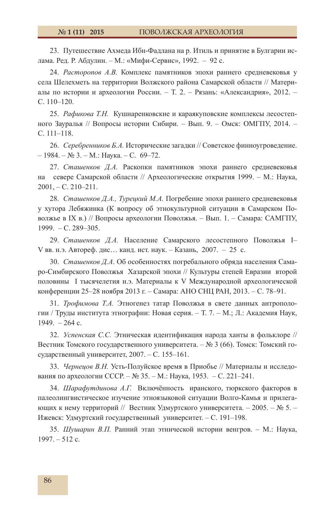23. Путешествие Ахмеда Ибн-Фадлана на р. Итиль и принятие в Булгарии ислама. Ред. Р. Абдулин. – М.: «Мифи-Сервис», 1992. – 92 с.

24. *Расторопов А.В.* Комплекс памятников эпохи раннего средневековья у села Шелехметь на территории Волжского района Самарской области // Материалы по истории и археологии России. – Т. 2. – Рязань: «Александрия», 2012. – С. 110–120.

25. *Рафикова Т.Н.* Кушнаренковские и караякуповские комплексы лесостепного Зауралья // Вопросы истории Сибири. – Вып. 9. – Омск: ОМГПУ, 2014. – С. 111–118.

26. *Серебренников Б.А.* Исторические загадки // Советское финноугроведение. – 1984. – № 3. – М.: Наука. – С. 69–72.

27. *Сташенков Д.А.* Раскопки памятников эпохи раннего средневековья на севере Самарской области // Археологические открытия 1999. – М.: Наука,  $2001, -C. 210 - 211.$ 

28. *Сташенков Д.А., Турецкий М.А.* Погребение эпохи раннего средневековья у хутора Лебяжинка (К вопросу об этнокультурной ситуации в Самарском Поволжье в IX в.) // Вопросы археологии Поволжья. – Вып. 1. – Самара: САМГПУ, 1999. – С. 289–305.

29. *Сташенков Д.А.* Население Самарского лесостепного Поволжья I– V вв. н.э. Автореф. дис… канд. ист. наук. – Казань, 2007. – 25 с.

30. *Сташенков Д.А*. Об особенностях погребального обряда населения Самаро-Симбирского Поволжья Хазарской эпохи // Культуры степей Евразии второй половины I тысячелетия н.э. Материалы к V Международной археологической конференции 25–28 ноября 2013 г. – Самара: АНО СНЦ РАН, 2013. – С. 78–91.

31. *Трофимова Т.А.* Этногенез татар Поволжья в свете данных антропологии / Труды института этнографии: Новая серия. – Т. 7. – М.; Л.: Академия Наук, 1949. – 264 с.

32. *Успенская С.С.* Этническая идентификация народа ханты в фольклоре // Вестник Томского государственного университета. – № 3 (66). Томск: Томский государственный университет, 2007. – С. 155–161.

33. *Чернецов В.Н.* Усть-Полуйское время в Приобье // Материалы и исследования по археологии СССР. – № 35. – М.: Наука, 1953. – С. 221–241.

34. *Шарафутдинова А.Г.* Включённость иранского, тюркского факторов в палеолингвистическое изучение этноязыковой ситуации Волго-Камья и прилегающих к нему территорий // Вестник Удмуртского университета. – 2005. – № 5. – Ижевск: Удмуртский государственный университет. – С. 191–198.

35. *Шушарин В.П.* Ранний этап этнической истории венгров. – М.: Наука, 1997. – 512 с.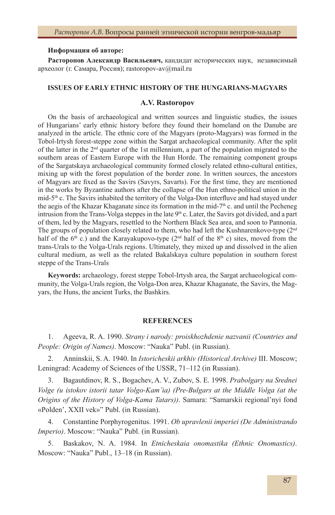#### **Информация об авторe:**

**Расторопов Александр Васильевич,** кандидат исторических наук, независимый археолог (г. Самара, Россия); rastoropov-av@mail.ru

# **ISSUES OF EARLY ETHNIC HISTORY OF THE HUNGARIANS-MAGYARS**

# **A.V. Rastoropov**

On the basis of archaeological and written sources and linguistic studies, the issues of Hungarians' early ethnic history before they found their homeland on the Danube are analyzed in the article. The ethnic core of the Magyars (proto-Magyars) was formed in the Tobol-Irtysh forest-steppe zone within the Sargat archaeological community. After the split of the latter in the  $2<sup>nd</sup>$  quarter of the 1st millennium, a part of the population migrated to the southern areas of Eastern Europe with the Hun Horde. The remaining component groups of the Sargatskaya archaeological community formed closely related ethno-cultural entities, mixing up with the forest population of the border zone. In written sources, the ancestors of Magyars are fixed as the Savirs (Savyrs, Savarts). For the first time, they are mentioned in the works by Byzantine authors after the collapse of the Hun ethno-political union in the mid- $5<sup>th</sup>$  c. The Savirs inhabited the territory of the Volga-Don interfluve and had stayed under the aegis of the Khazar Khaganate since its formation in the mid-7<sup>th</sup> c. and until the Pecheneg intrusion from the Trans-Volga steppes in the late  $9<sup>th</sup>$  c. Later, the Savirs got divided, and a part of them, led by the Magyars, resettled to the Northern Black Sea area, and soon to Pannonia. The groups of population closely related to them, who had left the Kushnarenkovo-type  $(2<sup>nd</sup>$ half of the  $6<sup>th</sup>$  c.) and the Karayakupovo-type ( $2<sup>nd</sup>$  half of the  $8<sup>th</sup>$  c) sites, moved from the trans-Urals to the Volga-Urals regions. Ultimately, they mixed up and dissolved in the alien cultural medium, as well as the related Bakalskaya culture population in southern forest steppe of the Trans-Urals

**Keywords:** archaeology, forest steppe Tobol-Irtysh area, the Sargat archaeological community, the Volga-Urals region, the Volga-Don area, Khazar Khaganate, the Savirs, the Magyars, the Huns, the ancient Turks, the Bashkirs.

## **REFERENCES**

1. Ageeva, R. A. 1990. *Strany i narody: proiskhozhdenie nazvanii (Countries and People: Origin of Names)*. Moscow: "Nauka" Publ. (in Russian).

2. Anninskii, S. A. 1940. In *Istoricheskii arkhiv (Historical Archive)* III. Moscow; Leningrad: Academy of Sciences of the USSR, 71–112 (in Russian).

3. Bagautdinov, R. S., Bogachev, A. V., Zubov, S. E. 1998. *Prabolgary na Srednei Volge (u istokov istorii tatar Volgo-Kam'ia) (Pre-Bulgars at the Middle Volga (at the Origins of the History of Volga-Kama Tatars))*. Samara: "Samarskii regional'nyi fond «Polden', XXII vek»" Publ. (in Russian).

4. Constantine Porphyrogenitus. 1991. *Ob upravlenii imperiei (De Administrando Imperio)*. Moscow: "Nauka" Publ. (in Russian).

5. Baskakov, N. A. 1984. In *Etnicheskaia onomastika (Ethnic Onomastics)*. Moscow: "Nauka" Publ., 13–18 (in Russian).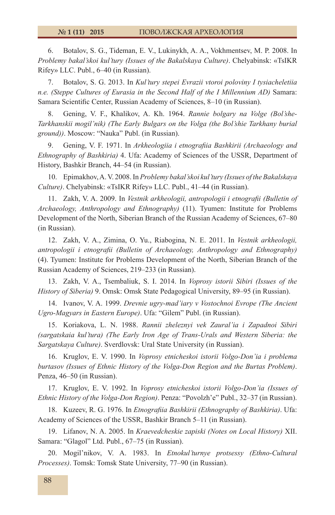6. Botalov, S. G., Tideman, E. V., Lukinykh, A. A., Vokhmentsev, M. P. 2008. In *Problemy bakal'skoi kul'tury (Issues of the Bakalskaya Culture)*. Chelyabinsk: «TsIKR Rifey» LLC. Publ., 6–40 (in Russian).

7. Botalov, S. G. 2013. In *Kul'tury stepei Evrazii vtoroi poloviny I tysiacheletiia n.e. (Steppe Cultures of Eurasia in the Second Half of the I Millennium AD)* Samara: Samara Scientific Center, Russian Academy of Sciences, 8-10 (in Russian).

8. Gening, V. F., Khalikov, A. Kh. 1964. *Rannie bolgary na Volge (Bol'she-Tarkhanskii mogil'nik) (The Early Bulgars on the Volga (the Bol'shie Tarkhany burial ground))*. Moscow: "Nauka" Publ. (in Russian).

9. Gening, V. F. 1971. In *Arkheologiia i etnografiia Bashkirii (Archaeology and Ethnography of Bashkiria)* 4. Ufa: Academy of Sciences of the USSR, Department of History, Bashkir Branch, 44–54 (in Russian).

10. Epimakhov, A. V. 2008. In *Problemy bakal'skoi kul'tury (Issues of the Bakalskaya Culture)*. Chelyabinsk: «TsIKR Rifey» LLC. Publ., 41–44 (in Russian).

11. Zakh, V. A. 2009. In *Vestnik arkheologii, antropologii i etnografi i (Bulletin of Archaeology, Anthropology and Ethnography)* (11). Tyumen: Institute for Problems Development of the North, Siberian Branch of the Russian Academy of Sciences, 67–80 (in Russian).

12. Zakh, V. A., Zimina, O. Yu., Riabogina, N. E. 2011. In *Vestnik arkheologii, antropologii i etnografi i (Bulletin of Archaeology, Anthropology and Ethnography)* (4). Tyumen: Institute for Problems Development of the North, Siberian Branch of the Russian Academy of Sciences, 219–233 (in Russian).

13. Zakh, V. A., Tsembaliuk, S. I. 2014. In *Voprosy istorii Sibiri (Issues of the History of Siberia)* 9. Omsk: Omsk State Pedagogical University, 89–95 (in Russian).

14. Ivanov, V. A. 1999. *Drevnie ugry-mad'iary v Vostochnoi Evrope (The Ancient Ugro-Magyars in Eastern Europe)*. Ufa: "Gilem" Publ. (in Russian).

15. Koriakova, L. N. 1988. *Rannii zheleznyi vek Zaural'ia i Zapadnoi Sibiri (sargatskaia kul'tura) (The Early Iron Age of Trans-Urals and Western Siberia: the Sargatskaya Culture)*. Sverdlovsk: Ural State University (in Russian).

16. Kruglov, E. V. 1990. In *Voprosy etnicheskoi istorii Volgo-Don'ia i problema burtasov (Issues of Ethnic History of the Volga-Don Region and the Burtas Problem)*. Penza, 46–50 (in Russian).

17. Kruglov, E. V. 1992. In *Voprosy etnicheskoi istorii Volgo-Don'ia (Issues of Ethnic History of the Volga-Don Region)*. Penza: "Povolzh'e" Publ., 32–37 (in Russian).

18. Kuzeev, R. G. 1976. In *Etnografiia Bashkirii (Ethnography of Bashkiria)*. Ufa: Academy of Sciences of the USSR, Bashkir Branch 5–11 (in Russian).

19. Lifanov, N. A. 2005. In *Kraevedcheskie zapiski (Notes on Local History)* XII. Samara: "Glagol" Ltd. Publ., 67–75 (in Russian).

20. Mogil'nikov, V. A. 1983. In *Etnokul'turnye protsessy (Ethno-Cultural Processes)*. Tomsk: Tomsk State University, 77–90 (in Russian).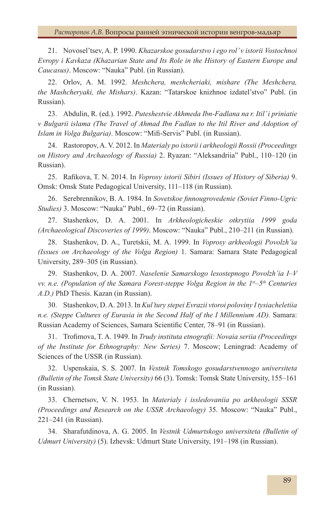21. Novosel'tsev, A. P. 1990. *Khazarskoe gosudarstvo i ego rol' v istorii Vostochnoi Evropy i Kavkaza (Khazarian State and Its Role in the History of Eastern Europe and Caucasus)*. Moscow: "Nauka" Publ. (in Russian).

22. Orlov, A. M. 1992. *Meshchera, meshcheriaki, mishare (The Meshchera, the Mashcheryaki, the Mishars)*. Kazan: "Tatarskoe knizhnoe izdatel'stvo" Publ. (in Russian).

23. Abdulin, R. (ed.). 1992. *Puteshestvie Akhmeda Ibn-Fadlana na r. Itil' i priniatie v Bulgarii islama (The Travel of Ahmad Ibn Fadlan to the Itil River and Adoption of Islam in Volga Bulgaria)*. Moscow: "Mifi -Servis" Publ. (in Russian).

24. Rastoropov, A. V. 2012. In *Materialy po istorii i arkheologii Rossii (Proceedings on History and Archaeology of Russia)* 2. Ryazan: "Aleksandriia" Publ., 110–120 (in Russian).

25. Rafi kova, T. N. 2014. In *Voprosy istorii Sibiri (Issues of History of Siberia)* 9. Omsk: Omsk State Pedagogical University, 111–118 (in Russian).

26. Serebrennikov, B. A. 1984. In *Sovetskoe finnougrovedenie (Soviet Finno-Ugric Studies)* 3. Moscow: "Nauka" Publ., 69–72 (in Russian).

27. Stashenkov, D. A. 2001. In *Arkheologicheskie otkrytiia 1999 goda (Archaeological Discoveries of 1999)*. Moscow: "Nauka" Publ., 210–211 (in Russian).

28. Stashenkov, D. A., Turetskii, M. A. 1999. In *Voprosy arkheologii Povolzh'ia (Issues on Archaeology of the Volga Region)* 1. Samara: Samara State Pedagogical University, 289–305 (in Russian).

29. Stashenkov, D. A. 2007. *Naselenie Samarskogo lesostepnogo Povolzh'ia I–V vv. n.e. (Population of the Samara Forest-steppe Volga Region in the 1st–5th Centuries A.D.)* PhD Thesis. Kazan (in Russian).

30. Stashenkov, D. A. 2013. In *Kul'tury stepei Evrazii vtoroi poloviny I tysiacheletiia n.e. (Steppe Cultures of Eurasia in the Second Half of the I Millennium AD).* Samara: Russian Academy of Sciences, Samara Scientific Center, 78–91 (in Russian).

31. Trofi mova, T. A. 1949. In *Trudy instituta etnografi i: Novaia seriia (Proceedings of the Institute for Ethnography: New Series)* 7. Moscow; Leningrad: Academy of Sciences of the USSR (in Russian).

32. Uspenskaia, S. S. 2007. In *Vestnik Tomskogo gosudarstvennogo universiteta (Bulletin of the Tomsk State University)* 66 (3). Tomsk: Tomsk State University, 155–161 (in Russian).

33. Chernetsov, V. N. 1953. In *Materialy i issledovaniia po arkheologii SSSR (Proceedings and Research on the USSR Archaeology)* 35. Moscow: "Nauka" Publ., 221–241 (in Russian).

34. Sharafutdinova, A. G. 2005. In *Vestnik Udmurtskogo universiteta (Bulletin of Udmurt University)* (5). Izhevsk: Udmurt State University, 191–198 (in Russian).